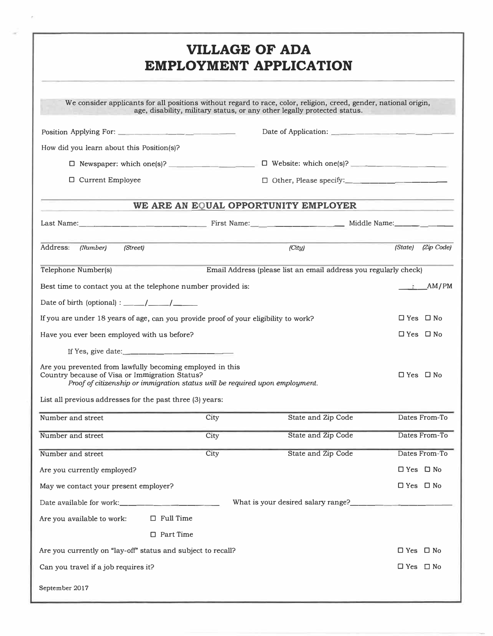# **VILLAGE OF ADA EMPLOYMENT APPLICATION**

| We consider applicants for all positions without regard to race, color, religion, creed, gender, national origin,                                                                           |      | age, disability, military status, or any other legally protected status. |                         |
|---------------------------------------------------------------------------------------------------------------------------------------------------------------------------------------------|------|--------------------------------------------------------------------------|-------------------------|
|                                                                                                                                                                                             |      |                                                                          |                         |
| How did you learn about this Position(s)?                                                                                                                                                   |      |                                                                          |                         |
|                                                                                                                                                                                             |      |                                                                          |                         |
| □ Current Employee                                                                                                                                                                          |      |                                                                          |                         |
|                                                                                                                                                                                             |      | WE ARE AN EQUAL OPPORTUNITY EMPLOYER                                     |                         |
| Last Name: Middle Name: Middle Name: Middle Name: Middle Name: Middle Name:                                                                                                                 |      |                                                                          |                         |
| Address:<br>(Street)<br>(Number)                                                                                                                                                            |      | (City)                                                                   | $(Zip$ Code)<br>(State) |
| Telephone Number(s)                                                                                                                                                                         |      | Email Address (please list an email address you regularly check)         |                         |
| Best time to contact you at the telephone number provided is:                                                                                                                               |      |                                                                          | AM/PM                   |
|                                                                                                                                                                                             |      |                                                                          |                         |
| If you are under 18 years of age, can you provide proof of your eligibility to work?                                                                                                        |      |                                                                          | $\Box$ Yes $\Box$ No    |
| Have you ever been employed with us before?                                                                                                                                                 |      |                                                                          | $\Box$ Yes $\Box$ No    |
|                                                                                                                                                                                             |      |                                                                          |                         |
| Are you prevented from lawfully becoming employed in this<br>Country because of Visa or Immigration Status?<br>Proof of citizenship or immigration status will be required upon employment. |      |                                                                          | $\Box$ Yes $\Box$ No    |
| List all previous addresses for the past three (3) years:                                                                                                                                   |      |                                                                          |                         |
| Number and street                                                                                                                                                                           | City | State and Zip Code                                                       | Dates From-To           |
| Number and street                                                                                                                                                                           | City | State and Zip Code                                                       | Dates From-To           |
| Number and street                                                                                                                                                                           | City | State and Zip Code                                                       | Dates From-To           |
| Are you currently employed?                                                                                                                                                                 |      |                                                                          | $\Box$ Yes $\Box$ No    |
| May we contact your present employer?                                                                                                                                                       |      |                                                                          | $\Box$ Yes $\Box$ No    |
|                                                                                                                                                                                             |      | What is your desired salary range?                                       |                         |
| Are you available to work:<br>$\Box$ Full Time                                                                                                                                              |      |                                                                          |                         |
| □ Part Time                                                                                                                                                                                 |      |                                                                          |                         |
| Are you currently on "lay-off" status and subject to recall?                                                                                                                                |      |                                                                          | $\Box$ Yes $\Box$ No    |
| Can you travel if a job requires it?                                                                                                                                                        |      |                                                                          | $\Box$ Yes $\Box$ No    |
| September 2017                                                                                                                                                                              |      |                                                                          |                         |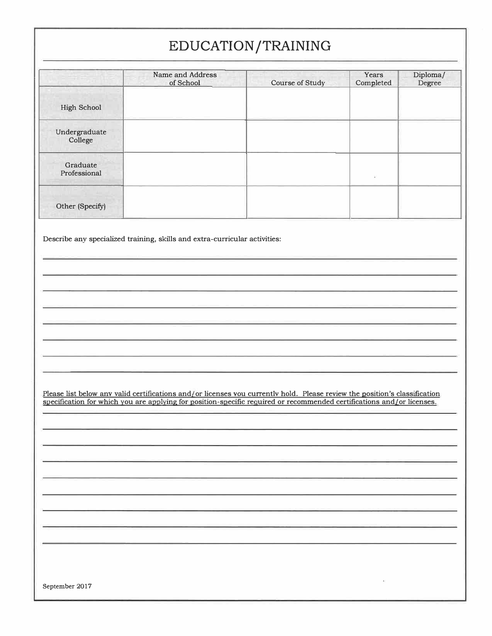# **EDUCATION /TRAINING**

|                          | Name and Address<br>of School | Course of Study | Years<br>Completed | Diploma/<br>Degree |
|--------------------------|-------------------------------|-----------------|--------------------|--------------------|
| High School              |                               |                 |                    |                    |
| Undergraduate<br>College |                               |                 |                    |                    |
| Graduate<br>Professional |                               |                 | 9ò                 |                    |
| Other (Specify)          |                               |                 |                    |                    |

Describe any specialized training, skills and extra-curricular activities:

Please list below anv valid certifications and/ or licenses vou currentlv hold. Please review the position's classification specification for which you are applying for position-specific required or recommended certifications and/or licenses.

September 2017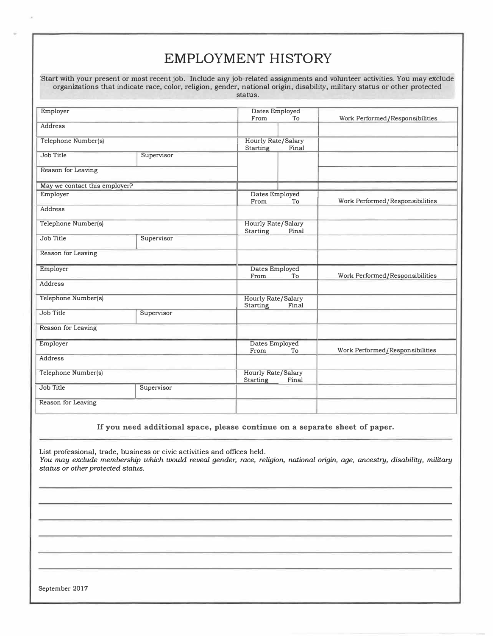|                               |            | status.                                        | Start with your present or most recent job. Include any job-related assignments and volunteer activities. You may exclude<br>organizations that indicate race, color, religion, gender, national origin, disability, military status or other protected |
|-------------------------------|------------|------------------------------------------------|---------------------------------------------------------------------------------------------------------------------------------------------------------------------------------------------------------------------------------------------------------|
| Employer                      |            | Dates Employed                                 |                                                                                                                                                                                                                                                         |
| Address                       |            | To<br>From                                     | Work Performed/Responsibilities                                                                                                                                                                                                                         |
| Telephone Number(s)           |            | Hourly Rate/Salary<br>Final<br>Starting        |                                                                                                                                                                                                                                                         |
| Job Title                     | Supervisor |                                                |                                                                                                                                                                                                                                                         |
| Reason for Leaving            |            |                                                |                                                                                                                                                                                                                                                         |
| May we contact this employer? |            |                                                |                                                                                                                                                                                                                                                         |
| Employer                      |            | Dates Employed<br>To<br>From                   | Work Performed/Responsibilities                                                                                                                                                                                                                         |
| Address                       |            |                                                |                                                                                                                                                                                                                                                         |
| Telephone Number(s)           |            | Hourly Rate/Salary<br><b>Starting</b><br>Final |                                                                                                                                                                                                                                                         |
| Job Title                     | Supervisor |                                                |                                                                                                                                                                                                                                                         |
| Reason for Leaving            |            |                                                |                                                                                                                                                                                                                                                         |
| Employer                      |            | Dates Employed<br>From<br>To                   | Work Performed/Responsibilities                                                                                                                                                                                                                         |
| <b>Address</b>                |            |                                                |                                                                                                                                                                                                                                                         |
| Telephone Number(s)           |            | Hourly Rate/Salary<br>Final<br><b>Starting</b> |                                                                                                                                                                                                                                                         |
| Job Title                     | Supervisor |                                                |                                                                                                                                                                                                                                                         |
| Reason for Leaving            |            |                                                |                                                                                                                                                                                                                                                         |
| Employer                      |            | Dates Employed<br>From<br>To                   | Work Performed/Responsibilities                                                                                                                                                                                                                         |
| Address                       |            |                                                |                                                                                                                                                                                                                                                         |
| Telephone Number(s)           |            | Hourly Rate/Salary<br><b>Starting</b><br>Final |                                                                                                                                                                                                                                                         |
| Job Title                     | Supervisor |                                                |                                                                                                                                                                                                                                                         |
| Reason for Leaving            |            |                                                |                                                                                                                                                                                                                                                         |

### **If you need additional space, please continue on a separate sheet of paper.**

List professional, trade, business or civic activities and offices held. *You may exclude membership which would reveal gender, race, religion, national origin, age, ancestry, disability, military status or other protected status.* 

September 2017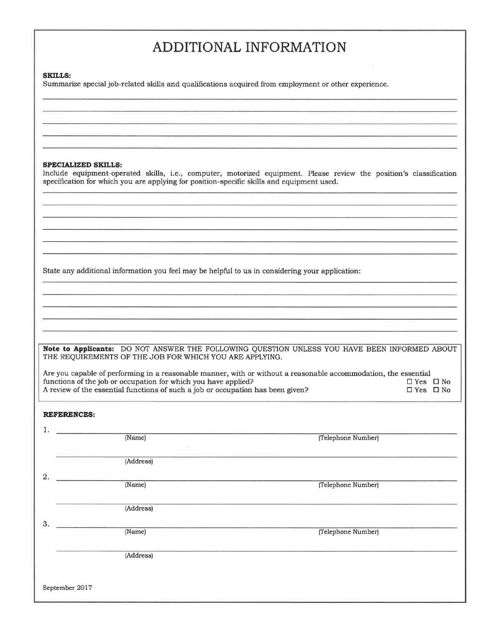# ADDITIONAL INFORMATION

#### **SKILLS:**

Summarize special job-related skills and qualifications acquired from employment or other experience.

### **SPECIALIZED SKILLS:**

Include equipment-operated skills, i.e., computer, motorized equipment. Please review the position's classification specification for which you are applying for position-specific skills and equipment used.

State any additional information you feel may be helpful to us in considering your application:

Note to Applicants: DO NOT ANSWER THE FOLLOWING QUESTION UNLESS YOU HAVE BEEN INFORMED ABOUT THE REQUIREMENTS OF THE JOB FOR WHICH YOU ARE APPLYING.

Are you capable of performing in a reasonable manner, with or without a reasonable accommodation, the essential functions of the job or occupation for which you have applied?  $\Box$  Yes  $\Box$  No  $\Box$  Yes  $\Box$  No A review of the essential functions of such a job or occupation has been given?

### **REFERENCES:**

|    | (Name)         | (Telephone Number) |
|----|----------------|--------------------|
|    | (1)            |                    |
|    | (Address)      |                    |
| 2. |                |                    |
|    | (Name)         | (Telephone Number) |
|    |                |                    |
|    | (Address)      |                    |
|    |                |                    |
| 3. |                |                    |
|    | (Name)         | (Telephone Number) |
|    |                |                    |
|    | (Address)      |                    |
|    |                |                    |
|    |                |                    |
|    | September 2017 |                    |
|    |                |                    |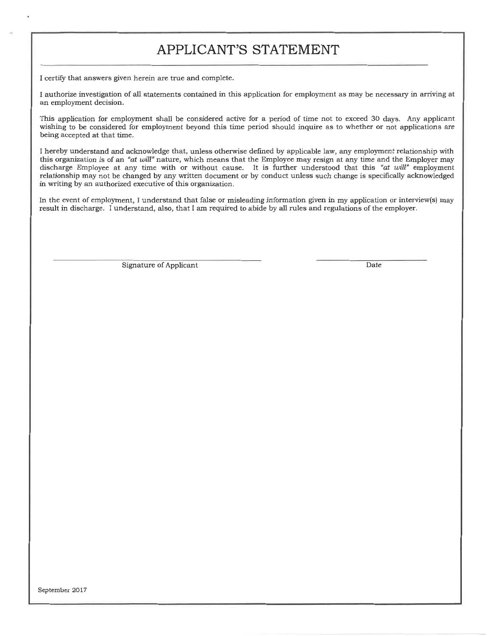### APPLICANT'S STATEMENT

I certify that answers given herein are true and complete.

I authorize investigation of all statements contained in this application for employment as may be necessary in arriving at an employment decision.

This application for employment shall be considered active for a period of time not to exceed 30 days. Any applicant wishing to be considered for employment beyond this time period should inquire as to whether or not applications are being accepted at that time.

I hereby understand and acknowledge that, unless otherwise defined by applicable law, any employment relationship with this organization is of an "at will" nature, which means that the Employee may resign at any time and the Employer may discharge Employee at any time with or without cause. It is further understood that this "at will" employment relationship may not be changed by any written document or by conduct unless such change is specifically acknowledged in writing by an authorized executive of this organization.

In the event of employment, I understand that false or misleading information given in my application or interview(s) may result in discharge. I understand, also, that I am required to abide by all rules and regulations of the employer.

Signature of Applicant

Date

September 2017